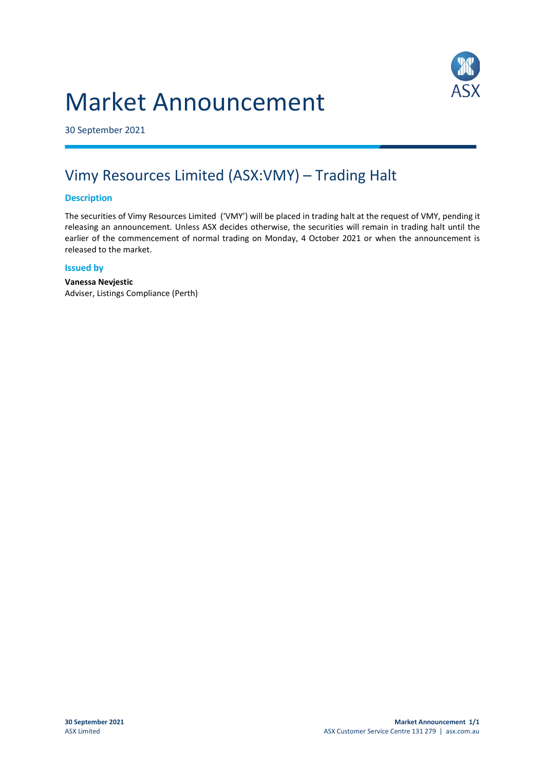# Market Announcement



30 September 2021

## Vimy Resources Limited (ASX:VMY) – Trading Halt

#### **Description**

The securities of Vimy Resources Limited ('VMY') will be placed in trading halt at the request of VMY, pending it releasing an announcement. Unless ASX decides otherwise, the securities will remain in trading halt until the earlier of the commencement of normal trading on Monday, 4 October 2021 or when the announcement is released to the market.

#### **Issued by**

**Vanessa Nevjestic** Adviser, Listings Compliance (Perth)